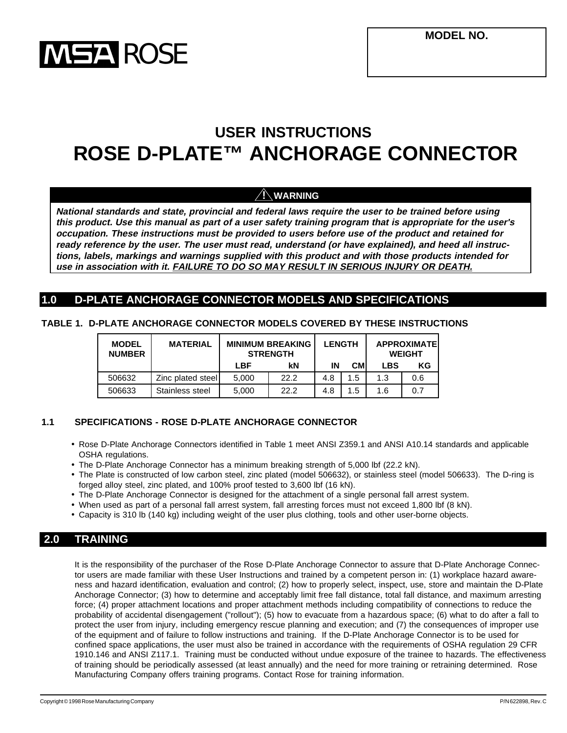

# **USER INSTRUCTIONS ROSE D-PLATE™ ANCHORAGE CONNECTOR**

# **! WARNING**

**National standards and state, provincial and federal laws require the user to be trained before using this product. Use this manual as part of a user safety training program that is appropriate for the user's occupation. These instructions must be provided to users before use of the product and retained for ready reference by the user. The user must read, understand (or have explained), and heed all instructions, labels, markings and warnings supplied with this product and with those products intended for use in association with it. FAILURE TO DO SO MAY RESULT IN SERIOUS INJURY OR DEATH.**

# **1.0 D-PLATE ANCHORAGE CONNECTOR MODELS AND SPECIFICATIONS**

|  | TABLE 1. D-PLATE ANCHORAGE CONNECTOR MODELS COVERED BY THESE INSTRUCTIONS |  |  |  |
|--|---------------------------------------------------------------------------|--|--|--|
|--|---------------------------------------------------------------------------|--|--|--|

| <b>MODEL</b><br><b>NUMBER</b> | <b>MATERIAL</b>   |       | <b>MINIMUM BREAKING</b><br><b>STRENGTH</b> |     | <b>LENGTH</b> |            | <b>APPROXIMATEI</b><br><b>WEIGHT</b> |  |
|-------------------------------|-------------------|-------|--------------------------------------------|-----|---------------|------------|--------------------------------------|--|
|                               |                   | LBF   | kN                                         | ΙN  | <b>CM</b>     | <b>LBS</b> | ΚG                                   |  |
| 506632                        | Zinc plated steel | 5.000 | 22.2                                       | 4.8 | 1.5           | 1.3        | 0.6                                  |  |
| 506633                        | Stainless steel   | 5.000 | 22.2                                       | 4.8 | 1.5           | 1.6        | 0.7                                  |  |

### **1.1 SPECIFICATIONS - ROSE D-PLATE ANCHORAGE CONNECTOR**

- Rose D-Plate Anchorage Connectors identified in Table 1 meet ANSI Z359.1 and ANSI A10.14 standards and applicable OSHA regulations.
- The D-Plate Anchorage Connector has a minimum breaking strength of 5,000 lbf (22.2 kN).
- The Plate is constructed of low carbon steel, zinc plated (model 506632), or stainless steel (model 506633). The D-ring is forged alloy steel, zinc plated, and 100% proof tested to 3,600 lbf (16 kN).
- The D-Plate Anchorage Connector is designed for the attachment of a single personal fall arrest system.
- When used as part of a personal fall arrest system, fall arresting forces must not exceed 1,800 lbf (8 kN).
- Capacity is 310 lb (140 kg) including weight of the user plus clothing, tools and other user-borne objects.

# **2.0 TRAINING**

It is the responsibility of the purchaser of the Rose D-Plate Anchorage Connector to assure that D-Plate Anchorage Connector users are made familiar with these User Instructions and trained by a competent person in: (1) workplace hazard awareness and hazard identification, evaluation and control; (2) how to properly select, inspect, use, store and maintain the D-Plate Anchorage Connector; (3) how to determine and acceptably limit free fall distance, total fall distance, and maximum arresting force; (4) proper attachment locations and proper attachment methods including compatibility of connections to reduce the probability of accidental disengagement ("rollout"); (5) how to evacuate from a hazardous space; (6) what to do after a fall to protect the user from injury, including emergency rescue planning and execution; and (7) the consequences of improper use of the equipment and of failure to follow instructions and training. If the D-Plate Anchorage Connector is to be used for confined space applications, the user must also be trained in accordance with the requirements of OSHA regulation 29 CFR 1910.146 and ANSI Z117.1. Training must be conducted without undue exposure of the trainee to hazards. The effectiveness of training should be periodically assessed (at least annually) and the need for more training or retraining determined. Rose Manufacturing Company offers training programs. Contact Rose for training information.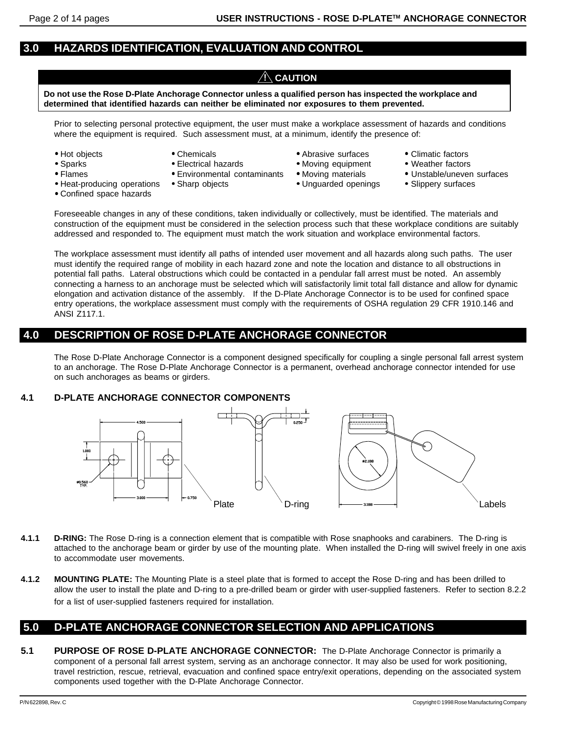# **3.0 HAZARDS IDENTIFICATION, EVALUATION AND CONTROL**

# $\bigwedge$  Caution

**Do not use the Rose D-Plate Anchorage Connector unless a qualified person has inspected the workplace and determined that identified hazards can neither be eliminated nor exposures to them prevented.**

Prior to selecting personal protective equipment, the user must make a workplace assessment of hazards and conditions where the equipment is required. Such assessment must, at a minimum, identify the presence of:

- 
- 
- 
- 
- 
- 
- 
- Confined space hazards
- 
- Flames Environmental contaminants Moving materials Unstable/uneven surfaces
	-
- Hot objects Chemicals Chemicals Abrasive surfaces Climatic factors
- Sparks Electrical hazards Moving equipment Weather factors
	-
- Heat-producing operations Sharp objects Unguarded openings Slippery surfaces
- 
- 
- 
- 

Foreseeable changes in any of these conditions, taken individually or collectively, must be identified. The materials and construction of the equipment must be considered in the selection process such that these workplace conditions are suitably addressed and responded to. The equipment must match the work situation and workplace environmental factors.

The workplace assessment must identify all paths of intended user movement and all hazards along such paths. The user must identify the required range of mobility in each hazard zone and note the location and distance to all obstructions in potential fall paths. Lateral obstructions which could be contacted in a pendular fall arrest must be noted. An assembly connecting a harness to an anchorage must be selected which will satisfactorily limit total fall distance and allow for dynamic elongation and activation distance of the assembly. If the D-Plate Anchorage Connector is to be used for confined space entry operations, the workplace assessment must comply with the requirements of OSHA regulation 29 CFR 1910.146 and ANSI Z117.1.

# **4.0 DESCRIPTION OF ROSE D-PLATE ANCHORAGE CONNECTOR**

The Rose D-Plate Anchorage Connector is a component designed specifically for coupling a single personal fall arrest system to an anchorage. The Rose D-Plate Anchorage Connector is a permanent, overhead anchorage connector intended for use on such anchorages as beams or girders.

#### **4.1 D-PLATE ANCHORAGE CONNECTOR COMPONENTS**



- **4.1.1 D-RING:** The Rose D-ring is a connection element that is compatible with Rose snaphooks and carabiners. The D-ring is attached to the anchorage beam or girder by use of the mounting plate. When installed the D-ring will swivel freely in one axis to accommodate user movements.
- **4.1.2 MOUNTING PLATE:** The Mounting Plate is a steel plate that is formed to accept the Rose D-ring and has been drilled to allow the user to install the plate and D-ring to a pre-drilled beam or girder with user-supplied fasteners. Refer to section 8.2.2 for a list of user-supplied fasteners required for installation.

# **5.0 D-PLATE ANCHORAGE CONNECTOR SELECTION AND APPLICATIONS**

**5.1 PURPOSE OF ROSE D-PLATE ANCHORAGE CONNECTOR:** The D-Plate Anchorage Connector is primarily a component of a personal fall arrest system, serving as an anchorage connector. It may also be used for work positioning, travel restriction, rescue, retrieval, evacuation and confined space entry/exit operations, depending on the associated system components used together with the D-Plate Anchorage Connector.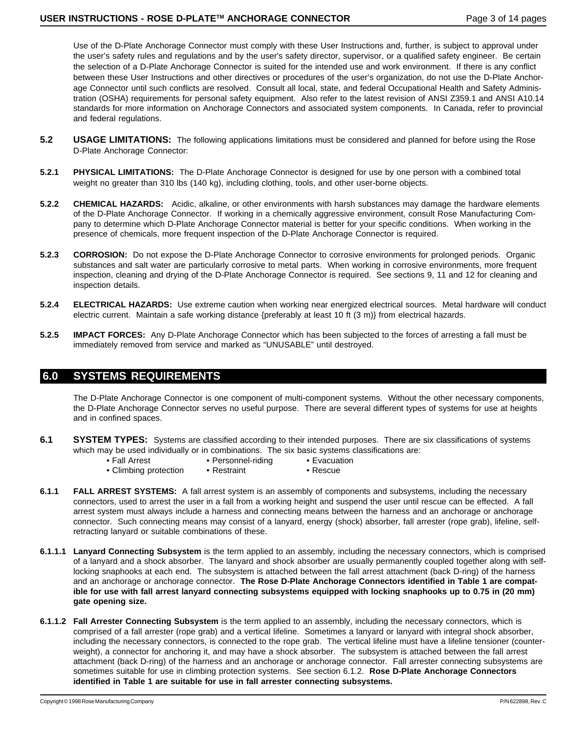Use of the D-Plate Anchorage Connector must comply with these User Instructions and, further, is subject to approval under the user's safety rules and regulations and by the user's safety director, supervisor, or a qualified safety engineer. Be certain the selection of a D-Plate Anchorage Connector is suited for the intended use and work environment. If there is any conflict between these User Instructions and other directives or procedures of the user's organization, do not use the D-Plate Anchorage Connector until such conflicts are resolved. Consult all local, state, and federal Occupational Health and Safety Administration (OSHA) requirements for personal safety equipment. Also refer to the latest revision of ANSI Z359.1 and ANSI A10.14 standards for more information on Anchorage Connectors and associated system components. In Canada, refer to provincial and federal regulations.

- **5.2 USAGE LIMITATIONS:** The following applications limitations must be considered and planned for before using the Rose D-Plate Anchorage Connector:
- **5.2.1 PHYSICAL LIMITATIONS:** The D-Plate Anchorage Connector is designed for use by one person with a combined total weight no greater than 310 lbs (140 kg), including clothing, tools, and other user-borne objects.
- **5.2.2 CHEMICAL HAZARDS:** Acidic, alkaline, or other environments with harsh substances may damage the hardware elements of the D-Plate Anchorage Connector. If working in a chemically aggressive environment, consult Rose Manufacturing Company to determine which D-Plate Anchorage Connector material is better for your specific conditions. When working in the presence of chemicals, more frequent inspection of the D-Plate Anchorage Connector is required.
- **5.2.3 CORROSION:** Do not expose the D-Plate Anchorage Connector to corrosive environments for prolonged periods. Organic substances and salt water are particularly corrosive to metal parts. When working in corrosive environments, more frequent inspection, cleaning and drying of the D-Plate Anchorage Connector is required. See sections 9, 11 and 12 for cleaning and inspection details.
- **5.2.4 ELECTRICAL HAZARDS:** Use extreme caution when working near energized electrical sources. Metal hardware will conduct electric current. Maintain a safe working distance {preferably at least 10 ft (3 m)} from electrical hazards.
- **5.2.5 IMPACT FORCES:** Any D-Plate Anchorage Connector which has been subjected to the forces of arresting a fall must be immediately removed from service and marked as "UNUSABLE" until destroyed.

# **6.0 SYSTEMS REQUIREMENTS**

The D-Plate Anchorage Connector is one component of multi-component systems. Without the other necessary components, the D-Plate Anchorage Connector serves no useful purpose. There are several different types of systems for use at heights and in confined spaces.

- **6.1 SYSTEM TYPES:** Systems are classified according to their intended purposes. There are six classifications of systems which may be used individually or in combinations. The six basic systems classifications are:
	- Fall Arrest Personnel-riding Evacuation
- - Climbing protection Restraint Rescue
- 
- **6.1.1 FALL ARREST SYSTEMS:** A fall arrest system is an assembly of components and subsystems, including the necessary connectors, used to arrest the user in a fall from a working height and suspend the user until rescue can be effected. A fall arrest system must always include a harness and connecting means between the harness and an anchorage or anchorage connector. Such connecting means may consist of a lanyard, energy (shock) absorber, fall arrester (rope grab), lifeline, selfretracting lanyard or suitable combinations of these.
- **6.1.1.1 Lanyard Connecting Subsystem** is the term applied to an assembly, including the necessary connectors, which is comprised of a lanyard and a shock absorber. The lanyard and shock absorber are usually permanently coupled together along with selflocking snaphooks at each end. The subsystem is attached between the fall arrest attachment (back D-ring) of the harness and an anchorage or anchorage connector. **The Rose D-Plate Anchorage Connectors identified in Table 1 are compatible for use with fall arrest lanyard connecting subsystems equipped with locking snaphooks up to 0.75 in (20 mm) gate opening size.**
- **6.1.1.2 Fall Arrester Connecting Subsystem** is the term applied to an assembly, including the necessary connectors, which is comprised of a fall arrester (rope grab) and a vertical lifeline. Sometimes a lanyard or lanyard with integral shock absorber, including the necessary connectors, is connected to the rope grab. The vertical lifeline must have a lifeline tensioner (counterweight), a connector for anchoring it, and may have a shock absorber. The subsystem is attached between the fall arrest attachment (back D-ring) of the harness and an anchorage or anchorage connector. Fall arrester connecting subsystems are sometimes suitable for use in climbing protection systems. See section 6.1.2. **Rose D-Plate Anchorage Connectors identified in Table 1 are suitable for use in fall arrester connecting subsystems.**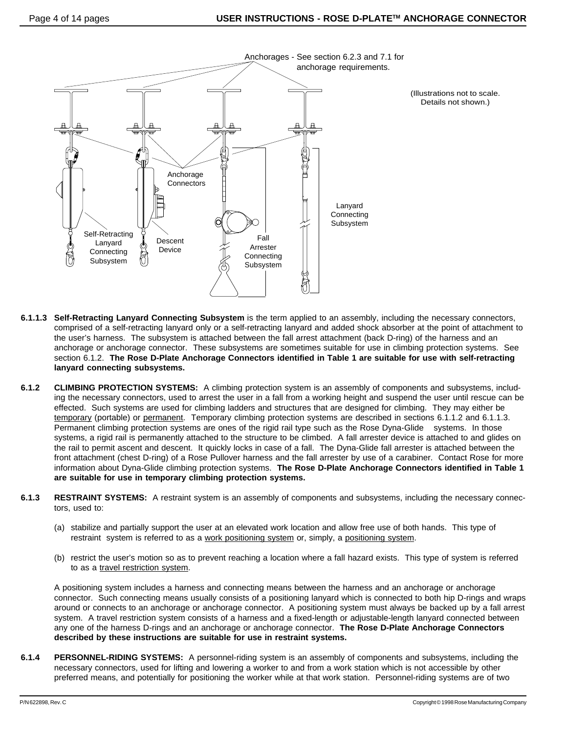

- **6.1.1.3 Self-Retracting Lanyard Connecting Subsystem** is the term applied to an assembly, including the necessary connectors, comprised of a self-retracting lanyard only or a self-retracting lanyard and added shock absorber at the point of attachment to the user's harness. The subsystem is attached between the fall arrest attachment (back D-ring) of the harness and an anchorage or anchorage connector. These subsystems are sometimes suitable for use in climbing protection systems. See section 6.1.2. **The Rose D-Plate Anchorage Connectors identified in Table 1 are suitable for use with self-retracting lanyard connecting subsystems.**
- **6.1.2 CLIMBING PROTECTION SYSTEMS:** A climbing protection system is an assembly of components and subsystems, including the necessary connectors, used to arrest the user in a fall from a working height and suspend the user until rescue can be effected. Such systems are used for climbing ladders and structures that are designed for climbing. They may either be temporary (portable) or permanent. Temporary climbing protection systems are described in sections 6.1.1.2 and 6.1.1.3. Permanent climbing protection systems are ones of the rigid rail type such as the Rose Dyna-Glide<sup>™</sup> systems. In those systems, a rigid rail is permanently attached to the structure to be climbed. A fall arrester device is attached to and glides on the rail to permit ascent and descent. It quickly locks in case of a fall. The Dyna-Glide fall arrester is attached between the front attachment (chest D-ring) of a Rose Pullover harness and the fall arrester by use of a carabiner. Contact Rose for more information about Dyna-Glide climbing protection systems. **The Rose D-Plate Anchorage Connectors identified in Table 1 are suitable for use in temporary climbing protection systems.**
- **6.1.3 RESTRAINT SYSTEMS:** A restraint system is an assembly of components and subsystems, including the necessary connectors, used to:
	- (a) stabilize and partially support the user at an elevated work location and allow free use of both hands. This type of restraint system is referred to as a work positioning system or, simply, a positioning system.
	- (b) restrict the user's motion so as to prevent reaching a location where a fall hazard exists. This type of system is referred to as a travel restriction system.

A positioning system includes a harness and connecting means between the harness and an anchorage or anchorage connector. Such connecting means usually consists of a positioning lanyard which is connected to both hip D-rings and wraps around or connects to an anchorage or anchorage connector. A positioning system must always be backed up by a fall arrest system. A travel restriction system consists of a harness and a fixed-length or adjustable-length lanyard connected between any one of the harness D-rings and an anchorage or anchorage connector. **The Rose D-Plate Anchorage Connectors described by these instructions are suitable for use in restraint systems.**

**6.1.4 PERSONNEL-RIDING SYSTEMS:** A personnel-riding system is an assembly of components and subsystems, including the necessary connectors, used for lifting and lowering a worker to and from a work station which is not accessible by other preferred means, and potentially for positioning the worker while at that work station. Personnel-riding systems are of two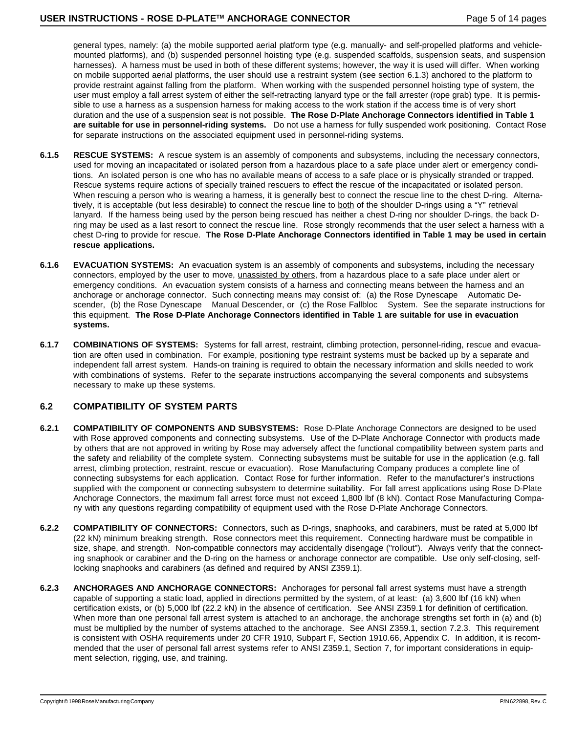general types, namely: (a) the mobile supported aerial platform type (e.g. manually- and self-propelled platforms and vehiclemounted platforms), and (b) suspended personnel hoisting type (e.g. suspended scaffolds, suspension seats, and suspension harnesses). A harness must be used in both of these different systems; however, the way it is used will differ. When working on mobile supported aerial platforms, the user should use a restraint system (see section 6.1.3) anchored to the platform to provide restraint against falling from the platform. When working with the suspended personnel hoisting type of system, the user must employ a fall arrest system of either the self-retracting lanyard type or the fall arrester (rope grab) type. It is permissible to use a harness as a suspension harness for making access to the work station if the access time is of very short duration and the use of a suspension seat is not possible. **The Rose D-Plate Anchorage Connectors identified in Table 1 are suitable for use in personnel-riding systems.** Do not use a harness for fully suspended work positioning. Contact Rose for separate instructions on the associated equipment used in personnel-riding systems.

- **6.1.5 RESCUE SYSTEMS:** A rescue system is an assembly of components and subsystems, including the necessary connectors, used for moving an incapacitated or isolated person from a hazardous place to a safe place under alert or emergency conditions. An isolated person is one who has no available means of access to a safe place or is physically stranded or trapped. Rescue systems require actions of specially trained rescuers to effect the rescue of the incapacitated or isolated person. When rescuing a person who is wearing a harness, it is generally best to connect the rescue line to the chest D-ring. Alternatively, it is acceptable (but less desirable) to connect the rescue line to both of the shoulder D-rings using a "Y" retrieval lanyard. If the harness being used by the person being rescued has neither a chest D-ring nor shoulder D-rings, the back Dring may be used as a last resort to connect the rescue line. Rose strongly recommends that the user select a harness with a chest D-ring to provide for rescue. **The Rose D-Plate Anchorage Connectors identified in Table 1 may be used in certain rescue applications.**
- **6.1.6 EVACUATION SYSTEMS:** An evacuation system is an assembly of components and subsystems, including the necessary connectors, employed by the user to move, unassisted by others, from a hazardous place to a safe place under alert or emergency conditions. An evacuation system consists of a harness and connecting means between the harness and an anchorage or anchorage connector. Such connecting means may consist of: (a) the Rose Dynescape™ Automatic Descender, (b) the Rose Dynescape<sup>TM</sup> Manual Descender, or (c) the Rose Fallbloc<sup>TM</sup> System. See the separate instructions for this equipment. **The Rose D-Plate Anchorage Connectors identified in Table 1 are suitable for use in evacuation systems.**
- **6.1.7 COMBINATIONS OF SYSTEMS:** Systems for fall arrest, restraint, climbing protection, personnel-riding, rescue and evacuation are often used in combination. For example, positioning type restraint systems must be backed up by a separate and independent fall arrest system. Hands-on training is required to obtain the necessary information and skills needed to work with combinations of systems. Refer to the separate instructions accompanying the several components and subsystems necessary to make up these systems.

#### **6.2 COMPATIBILITY OF SYSTEM PARTS**

- **6.2.1 COMPATIBILITY OF COMPONENTS AND SUBSYSTEMS:** Rose D-Plate Anchorage Connectors are designed to be used with Rose approved components and connecting subsystems. Use of the D-Plate Anchorage Connector with products made by others that are not approved in writing by Rose may adversely affect the functional compatibility between system parts and the safety and reliability of the complete system. Connecting subsystems must be suitable for use in the application (e.g. fall arrest, climbing protection, restraint, rescue or evacuation). Rose Manufacturing Company produces a complete line of connecting subsystems for each application. Contact Rose for further information. Refer to the manufacturer's instructions supplied with the component or connecting subsystem to determine suitability. For fall arrest applications using Rose D-Plate Anchorage Connectors, the maximum fall arrest force must not exceed 1,800 lbf (8 kN). Contact Rose Manufacturing Company with any questions regarding compatibility of equipment used with the Rose D-Plate Anchorage Connectors.
- **6.2.2 COMPATIBILITY OF CONNECTORS:** Connectors, such as D-rings, snaphooks, and carabiners, must be rated at 5,000 lbf (22 kN) minimum breaking strength. Rose connectors meet this requirement. Connecting hardware must be compatible in size, shape, and strength. Non-compatible connectors may accidentally disengage ("rollout"). Always verify that the connecting snaphook or carabiner and the D-ring on the harness or anchorage connector are compatible. Use only self-closing, selflocking snaphooks and carabiners (as defined and required by ANSI Z359.1).
- **6.2.3 ANCHORAGES AND ANCHORAGE CONNECTORS:** Anchorages for personal fall arrest systems must have a strength capable of supporting a static load, applied in directions permitted by the system, of at least: (a) 3,600 lbf (16 kN) when certification exists, or (b) 5,000 lbf (22.2 kN) in the absence of certification. See ANSI Z359.1 for definition of certification. When more than one personal fall arrest system is attached to an anchorage, the anchorage strengths set forth in (a) and (b) must be multiplied by the number of systems attached to the anchorage. See ANSI Z359.1, section 7.2.3. This requirement is consistent with OSHA requirements under 20 CFR 1910, Subpart F, Section 1910.66, Appendix C. In addition, it is recommended that the user of personal fall arrest systems refer to ANSI Z359.1, Section 7, for important considerations in equipment selection, rigging, use, and training.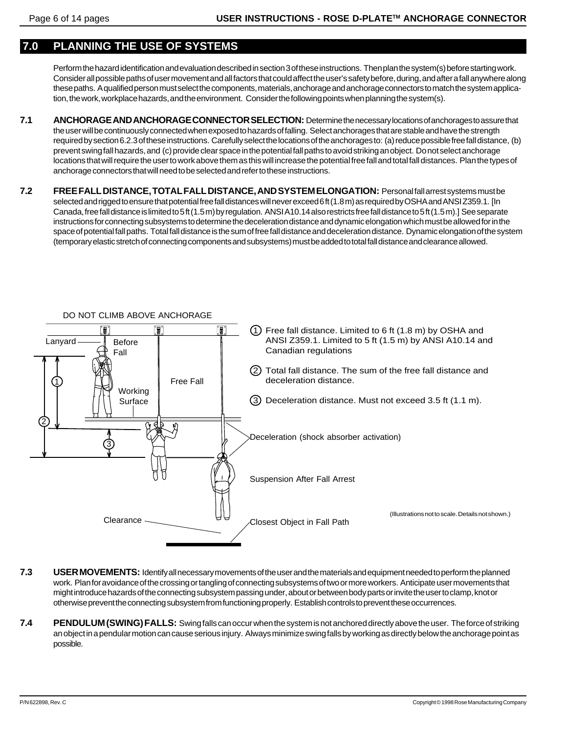# **7.0 PLANNING THE USE OF SYSTEMS**

Perform the hazard identification and evaluation described in section 3 of these instructions. Then plan the system(s) before starting work. Consider all possible paths of user movement and all factors that could affect the user's safety before, during, and after a fall anywhere along these paths. A qualified person must select the components, materials, anchorage and anchorage connectors to match the system application, the work, workplace hazards, and the environment. Consider the following points when planning the system(s).

- **7.1 ANCHORAGE AND ANCHORAGE CONNECTOR SELECTION:** Determine the necessary locations of anchorages to assure that the user will be continuously connected when exposed to hazards of falling. Select anchorages that are stable and have the strength required by section 6.2.3 of these instructions. Carefully select the locations of the anchorages to: (a) reduce possible free fall distance, (b) prevent swing fall hazards, and (c) provide clear space in the potential fall paths to avoid striking an object. Do not select anchorage locations that will require the user to work above them as this will increase the potential free fall and total fall distances. Plan the types of anchorage connectors that will need to be selected and refer to these instructions.
- **7.2 FREE FALL DISTANCE, TOTAL FALL DISTANCE, AND SYSTEM ELONGATION:** Personal fall arrest systems must be selected and rigged to ensure that potential free fall distances will never exceed 6 ft (1.8 m) as required by OSHA and ANSI Z359.1. [In Canada, free fall distance is limited to 5 ft (1.5 m) by regulation. ANSI A10.14 also restricts free fall distance to 5 ft (1.5 m).] See separate instructions for connecting subsystems to determine the deceleration distance and dynamic elongation which must be allowed for in the space of potential fall paths. Total fall distance is the sum of free fall distance and deceleration distance. Dynamic elongation of the system (temporary elastic stretch of connecting components and subsystems) must be added to total fall distance and clearance allowed.



- **7.3 USER MOVEMENTS:** Identify all necessary movements of the user and the materials and equipment needed to perform the planned work. Plan for avoidance of the crossing or tangling of connecting subsystems of two or more workers. Anticipate user movements that might introduce hazards of the connecting subsystem passing under, about or between body parts or invite the user to clamp, knot or otherwise prevent the connecting subsystem from functioning properly. Establish controls to prevent these occurrences.
- **7.4 PENDULUM (SWING) FALLS:** Swing falls can occur when the system is not anchored directly above the user. The force of striking an object in a pendular motion can cause serious injury. Always minimize swing falls by working as directly below the anchorage point as possible.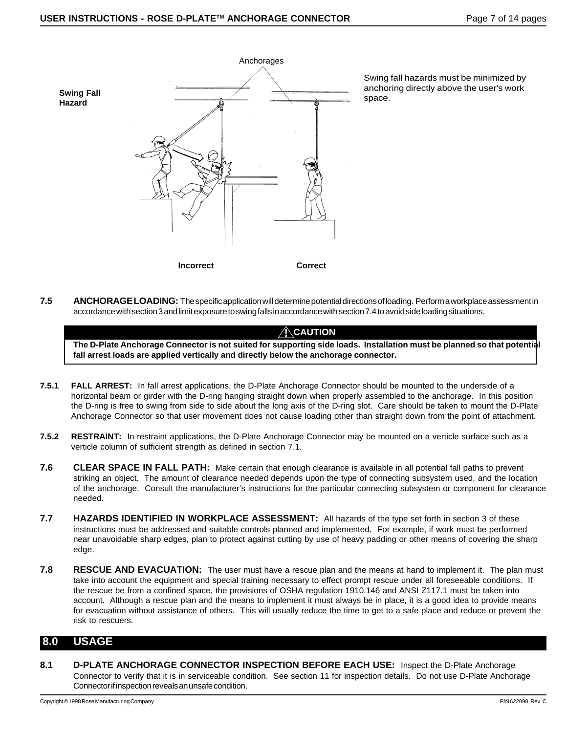

Swing fall hazards must be minimized by anchoring directly above the user's work

**7.5 ANCHORAGE LOADING:** The specific application will determine potential directions of loading. Perform a workplace assessment in accordance with section 3 and limit exposure to swing falls in accordance with section 7.4 to avoid side loading situations.

### **! CAUTION**

**The D-Plate Anchorage Connector is not suited for supporting side loads. Installation must be planned so that potential fall arrest loads are applied vertically and directly below the anchorage connector.**

- **7.5.1 FALL ARREST:** In fall arrest applications, the D-Plate Anchorage Connector should be mounted to the underside of a horizontal beam or girder with the D-ring hanging straight down when properly assembled to the anchorage. In this position the D-ring is free to swing from side to side about the long axis of the D-ring slot. Care should be taken to mount the D-Plate Anchorage Connector so that user movement does not cause loading other than straight down from the point of attachment.
- **7.5.2 RESTRAINT:** In restraint applications, the D-Plate Anchorage Connector may be mounted on a verticle surface such as a verticle column of sufficient strength as defined in section 7.1.
- **7.6 CLEAR SPACE IN FALL PATH:** Make certain that enough clearance is available in all potential fall paths to prevent striking an object. The amount of clearance needed depends upon the type of connecting subsystem used, and the location of the anchorage. Consult the manufacturer's instructions for the particular connecting subsystem or component for clearance needed.
- **7.7 HAZARDS IDENTIFIED IN WORKPLACE ASSESSMENT:** All hazards of the type set forth in section 3 of these instructions must be addressed and suitable controls planned and implemented. For example, if work must be performed near unavoidable sharp edges, plan to protect against cutting by use of heavy padding or other means of covering the sharp edge.
- **7.8 RESCUE AND EVACUATION:** The user must have a rescue plan and the means at hand to implement it. The plan must take into account the equipment and special training necessary to effect prompt rescue under all foreseeable conditions. If the rescue be from a confined space, the provisions of OSHA regulation 1910.146 and ANSI Z117.1 must be taken into account. Although a rescue plan and the means to implement it must always be in place, it is a good idea to provide means for evacuation without assistance of others. This will usually reduce the time to get to a safe place and reduce or prevent the risk to rescuers.

### **8.0 USAGE**

**8.1 D-PLATE ANCHORAGE CONNECTOR INSPECTION BEFORE EACH USE:** Inspect the D-Plate Anchorage Connector to verify that it is in serviceable condition. See section 11 for inspection details. Do not use D-Plate Anchorage Connector if inspection reveals an unsafe condition.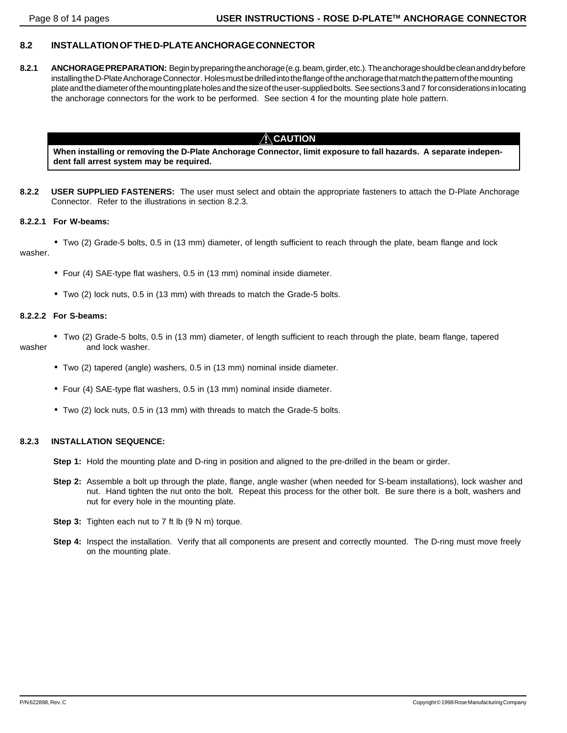### **8.2 INSTALLATION OF THE D-PLATE ANCHORAGE CONNECTOR**

**8.2.1 ANCHORAGE PREPARATION:** Begin by preparing the anchorage (e.g. beam, girder, etc.). The anchorage should be clean and dry before installing the D-Plate Anchorage Connector. Holes must be drilled into the flange of the anchorage that match the pattern of the mounting plate and the diameter of the mounting plate holes and the size of the user-supplied bolts. See sections 3 and 7 for considerations in locating the anchorage connectors for the work to be performed. See section 4 for the mounting plate hole pattern.

# $\bigwedge$ CAUTION

**When installing or removing the D-Plate Anchorage Connector, limit exposure to fall hazards. A separate independent fall arrest system may be required.**

**8.2.2 USER SUPPLIED FASTENERS:** The user must select and obtain the appropriate fasteners to attach the D-Plate Anchorage Connector. Refer to the illustrations in section 8.2.3.

#### **8.2.2.1 For W-beams:**

• Two (2) Grade-5 bolts, 0.5 in (13 mm) diameter, of length sufficient to reach through the plate, beam flange and lock washer.

- Four (4) SAE-type flat washers, 0.5 in (13 mm) nominal inside diameter.
- Two (2) lock nuts, 0.5 in (13 mm) with threads to match the Grade-5 bolts.

#### **8.2.2.2 For S-beams:**

- Two (2) Grade-5 bolts, 0.5 in (13 mm) diameter, of length sufficient to reach through the plate, beam flange, tapered washer and lock washer.
	- Two (2) tapered (angle) washers, 0.5 in (13 mm) nominal inside diameter.
	- Four (4) SAE-type flat washers, 0.5 in (13 mm) nominal inside diameter.
	- Two (2) lock nuts, 0.5 in (13 mm) with threads to match the Grade-5 bolts.

#### **8.2.3 INSTALLATION SEQUENCE:**

- **Step 1:** Hold the mounting plate and D-ring in position and aligned to the pre-drilled in the beam or girder.
- **Step 2:** Assemble a bolt up through the plate, flange, angle washer (when needed for S-beam installations), lock washer and nut. Hand tighten the nut onto the bolt. Repeat this process for the other bolt. Be sure there is a bolt, washers and nut for every hole in the mounting plate.
- **Step 3:** Tighten each nut to 7 ft lb (9 N m) torque.
- **Step 4:** Inspect the installation. Verify that all components are present and correctly mounted. The D-ring must move freely on the mounting plate.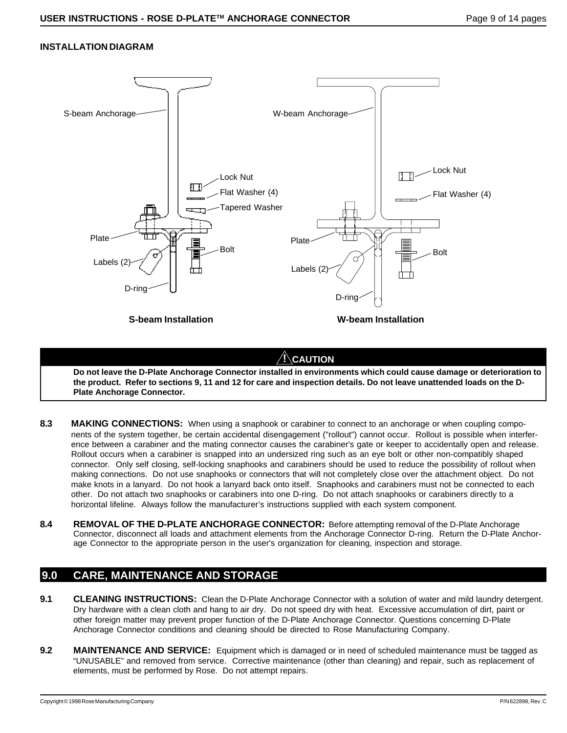### **INSTALLATION DIAGRAM**



**! CAUTION**

**Do not leave the D-Plate Anchorage Connector installed in environments which could cause damage or deterioration to the product. Refer to sections 9, 11 and 12 for care and inspection details. Do not leave unattended loads on the D-Plate Anchorage Connector.**

- **8.3 MAKING CONNECTIONS:** When using a snaphook or carabiner to connect to an anchorage or when coupling components of the system together, be certain accidental disengagement ("rollout") cannot occur. Rollout is possible when interference between a carabiner and the mating connector causes the carabiner's gate or keeper to accidentally open and release. Rollout occurs when a carabiner is snapped into an undersized ring such as an eye bolt or other non-compatibly shaped connector. Only self closing, self-locking snaphooks and carabiners should be used to reduce the possibility of rollout when making connections. Do not use snaphooks or connectors that will not completely close over the attachment object. Do not make knots in a lanyard. Do not hook a lanyard back onto itself. Snaphooks and carabiners must not be connected to each other. Do not attach two snaphooks or carabiners into one D-ring. Do not attach snaphooks or carabiners directly to a horizontal lifeline. Always follow the manufacturer's instructions supplied with each system component.
- 8.4 REMOVAL OF THE D-PLATE ANCHORAGE CONNECTOR: Before attempting removal of the D-Plate Anchorage Connector, disconnect all loads and attachment elements from the Anchorage Connector D-ring. Return the D-Plate Anchorage Connector to the appropriate person in the user's organization for cleaning, inspection and storage.

# **9.0 CARE, MAINTENANCE AND STORAGE**

- **9.1** CLEANING INSTRUCTIONS: Clean the D-Plate Anchorage Connector with a solution of water and mild laundry detergent. Dry hardware with a clean cloth and hang to air dry. Do not speed dry with heat. Excessive accumulation of dirt, paint or other foreign matter may prevent proper function of the D-Plate Anchorage Connector. Questions concerning D-Plate Anchorage Connector conditions and cleaning should be directed to Rose Manufacturing Company.
- **9.2 MAINTENANCE AND SERVICE:** Equipment which is damaged or in need of scheduled maintenance must be tagged as "UNUSABLE" and removed from service. Corrective maintenance (other than cleaning) and repair, such as replacement of elements, must be performed by Rose. Do not attempt repairs.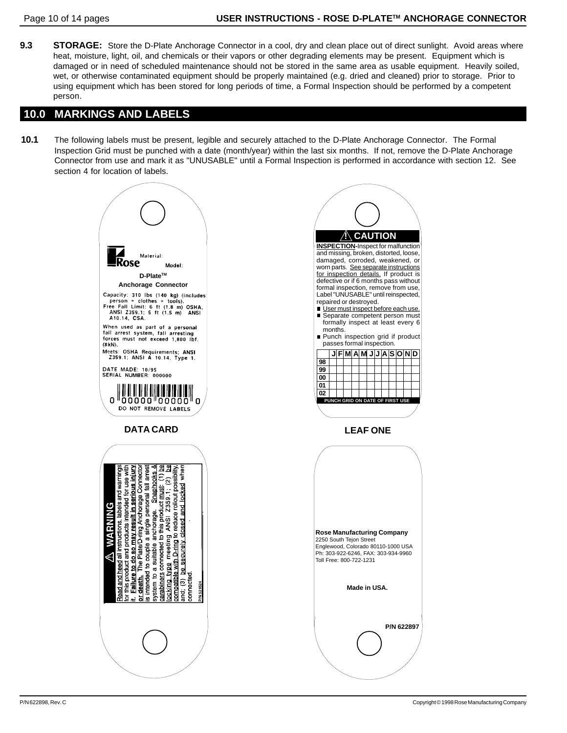**9.3** STORAGE: Store the D-Plate Anchorage Connector in a cool, dry and clean place out of direct sunlight. Avoid areas where heat, moisture, light, oil, and chemicals or their vapors or other degrading elements may be present. Equipment which is damaged or in need of scheduled maintenance should not be stored in the same area as usable equipment. Heavily soiled, wet, or otherwise contaminated equipment should be properly maintained (e.g. dried and cleaned) prior to storage. Prior to using equipment which has been stored for long periods of time, a Formal Inspection should be performed by a competent person.

# **10.0 MARKINGS AND LABELS**

**10.1** The following labels must be present, legible and securely attached to the D-Plate Anchorage Connector. The Formal Inspection Grid must be punched with a date (month/year) within the last six months. If not, remove the D-Plate Anchorage Connector from use and mark it as "UNUSABLE" until a Formal Inspection is performed in accordance with section 12. See section 4 for location of labels.

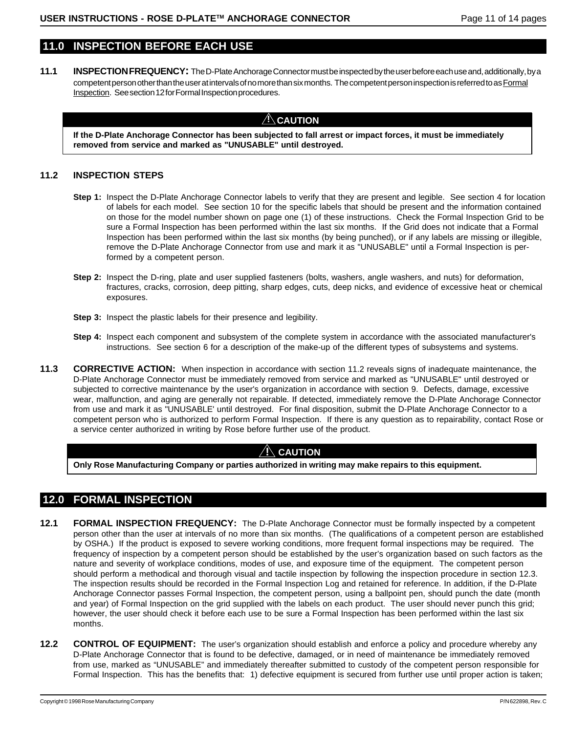# **11.0 INSPECTION BEFORE EACH USE**

**11.1 INSPECTION FREQUENCY:** The D-Plate Anchorage Connector must be inspected by the user before each use and, additionally, by a competent person other than the user at intervals of no more than six months. The competent person inspection is referred to as Formal Inspection. See section 12 for Formal Inspection procedures.

# $\Lambda$  Caution

**If the D-Plate Anchorage Connector has been subjected to fall arrest or impact forces, it must be immediately removed from service and marked as "UNUSABLE" until destroyed.**

#### **11.2 INSPECTION STEPS**

- **Step 1:** Inspect the D-Plate Anchorage Connector labels to verify that they are present and legible. See section 4 for location of labels for each model. See section 10 for the specific labels that should be present and the information contained on those for the model number shown on page one (1) of these instructions. Check the Formal Inspection Grid to be sure a Formal Inspection has been performed within the last six months. If the Grid does not indicate that a Formal Inspection has been performed within the last six months (by being punched), or if any labels are missing or illegible, remove the D-Plate Anchorage Connector from use and mark it as "UNUSABLE" until a Formal Inspection is performed by a competent person.
- **Step 2:** Inspect the D-ring, plate and user supplied fasteners (bolts, washers, angle washers, and nuts) for deformation, fractures, cracks, corrosion, deep pitting, sharp edges, cuts, deep nicks, and evidence of excessive heat or chemical exposures.
- **Step 3:** Inspect the plastic labels for their presence and legibility.
- **Step 4:** Inspect each component and subsystem of the complete system in accordance with the associated manufacturer's instructions. See section 6 for a description of the make-up of the different types of subsystems and systems.
- **11.3** CORRECTIVE ACTION: When inspection in accordance with section 11.2 reveals signs of inadequate maintenance, the D-Plate Anchorage Connector must be immediately removed from service and marked as "UNUSABLE" until destroyed or subjected to corrective maintenance by the user's organization in accordance with section 9. Defects, damage, excessive wear, malfunction, and aging are generally not repairable. If detected, immediately remove the D-Plate Anchorage Connector from use and mark it as "UNUSABLE' until destroyed. For final disposition, submit the D-Plate Anchorage Connector to a competent person who is authorized to perform Formal Inspection. If there is any question as to repairability, contact Rose or a service center authorized in writing by Rose before further use of the product.

# **! CAUTION**

**Only Rose Manufacturing Company or parties authorized in writing may make repairs to this equipment.**

# **12.0 FORMAL INSPECTION**

- **12.1 FORMAL INSPECTION FREQUENCY:** The D-Plate Anchorage Connector must be formally inspected by a competent person other than the user at intervals of no more than six months. (The qualifications of a competent person are established by OSHA.) If the product is exposed to severe working conditions, more frequent formal inspections may be required. The frequency of inspection by a competent person should be established by the user's organization based on such factors as the nature and severity of workplace conditions, modes of use, and exposure time of the equipment. The competent person should perform a methodical and thorough visual and tactile inspection by following the inspection procedure in section 12.3. The inspection results should be recorded in the Formal Inspection Log and retained for reference. In addition, if the D-Plate Anchorage Connector passes Formal Inspection, the competent person, using a ballpoint pen, should punch the date (month and year) of Formal Inspection on the grid supplied with the labels on each product. The user should never punch this grid; however, the user should check it before each use to be sure a Formal Inspection has been performed within the last six months.
- **12.2 CONTROL OF EQUIPMENT:** The user's organization should establish and enforce a policy and procedure whereby any D-Plate Anchorage Connector that is found to be defective, damaged, or in need of maintenance be immediately removed from use, marked as "UNUSABLE" and immediately thereafter submitted to custody of the competent person responsible for Formal Inspection. This has the benefits that: 1) defective equipment is secured from further use until proper action is taken;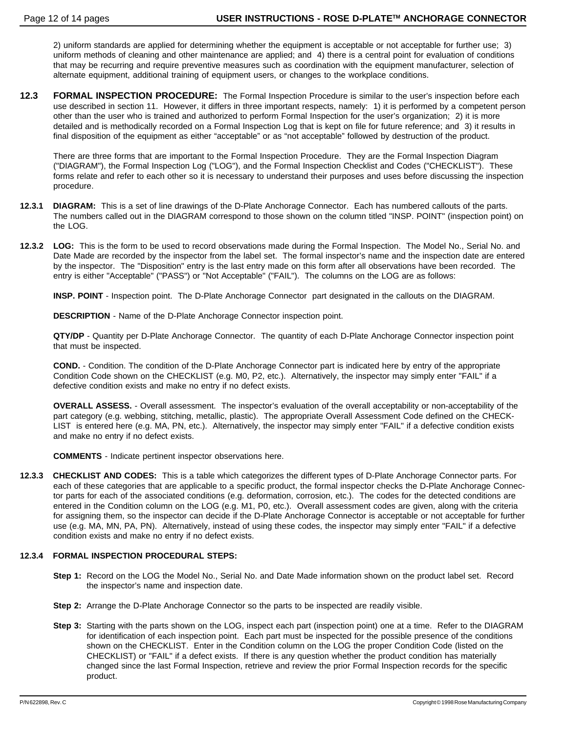2) uniform standards are applied for determining whether the equipment is acceptable or not acceptable for further use; 3) uniform methods of cleaning and other maintenance are applied; and 4) there is a central point for evaluation of conditions that may be recurring and require preventive measures such as coordination with the equipment manufacturer, selection of alternate equipment, additional training of equipment users, or changes to the workplace conditions.

**12.3 FORMAL INSPECTION PROCEDURE:** The Formal Inspection Procedure is similar to the user's inspection before each use described in section 11. However, it differs in three important respects, namely: 1) it is performed by a competent person other than the user who is trained and authorized to perform Formal Inspection for the user's organization; 2) it is more detailed and is methodically recorded on a Formal Inspection Log that is kept on file for future reference; and 3) it results in final disposition of the equipment as either "acceptable" or as "not acceptable" followed by destruction of the product.

There are three forms that are important to the Formal Inspection Procedure. They are the Formal Inspection Diagram ("DIAGRAM"), the Formal Inspection Log ("LOG"), and the Formal Inspection Checklist and Codes ("CHECKLIST"). These forms relate and refer to each other so it is necessary to understand their purposes and uses before discussing the inspection procedure.

- **12.3.1 DIAGRAM:** This is a set of line drawings of the D-Plate Anchorage Connector. Each has numbered callouts of the parts. The numbers called out in the DIAGRAM correspond to those shown on the column titled "INSP. POINT" (inspection point) on the LOG.
- **12.3.2 LOG:** This is the form to be used to record observations made during the Formal Inspection. The Model No., Serial No. and Date Made are recorded by the inspector from the label set. The formal inspector's name and the inspection date are entered by the inspector. The "Disposition" entry is the last entry made on this form after all observations have been recorded. The entry is either "Acceptable" ("PASS") or "Not Acceptable" ("FAIL"). The columns on the LOG are as follows:

**INSP. POINT** - Inspection point. The D-Plate Anchorage Connector part designated in the callouts on the DIAGRAM.

**DESCRIPTION** - Name of the D-Plate Anchorage Connector inspection point.

**QTY/DP** - Quantity per D-Plate Anchorage Connector. The quantity of each D-Plate Anchorage Connector inspection point that must be inspected.

**COND.** - Condition. The condition of the D-Plate Anchorage Connector part is indicated here by entry of the appropriate Condition Code shown on the CHECKLIST (e.g. M0, P2, etc.). Alternatively, the inspector may simply enter "FAIL" if a defective condition exists and make no entry if no defect exists.

**OVERALL ASSESS.** - Overall assessment. The inspector's evaluation of the overall acceptability or non-acceptability of the part category (e.g. webbing, stitching, metallic, plastic). The appropriate Overall Assessment Code defined on the CHECK-LIST is entered here (e.g. MA, PN, etc.). Alternatively, the inspector may simply enter "FAIL" if a defective condition exists and make no entry if no defect exists.

**COMMENTS** - Indicate pertinent inspector observations here.

**12.3.3 CHECKLIST AND CODES:** This is a table which categorizes the different types of D-Plate Anchorage Connector parts. For each of these categories that are applicable to a specific product, the formal inspector checks the D-Plate Anchorage Connector parts for each of the associated conditions (e.g. deformation, corrosion, etc.). The codes for the detected conditions are entered in the Condition column on the LOG (e.g. M1, P0, etc.). Overall assessment codes are given, along with the criteria for assigning them, so the inspector can decide if the D-Plate Anchorage Connector is acceptable or not acceptable for further use (e.g. MA, MN, PA, PN). Alternatively, instead of using these codes, the inspector may simply enter "FAIL" if a defective condition exists and make no entry if no defect exists.

#### **12.3.4 FORMAL INSPECTION PROCEDURAL STEPS:**

- **Step 1:** Record on the LOG the Model No., Serial No. and Date Made information shown on the product label set. Record the inspector's name and inspection date.
- **Step 2:** Arrange the D-Plate Anchorage Connector so the parts to be inspected are readily visible.
- **Step 3:** Starting with the parts shown on the LOG, inspect each part (inspection point) one at a time. Refer to the DIAGRAM for identification of each inspection point. Each part must be inspected for the possible presence of the conditions shown on the CHECKLIST. Enter in the Condition column on the LOG the proper Condition Code (listed on the CHECKLIST) or "FAIL" if a defect exists. If there is any question whether the product condition has materially changed since the last Formal Inspection, retrieve and review the prior Formal Inspection records for the specific product.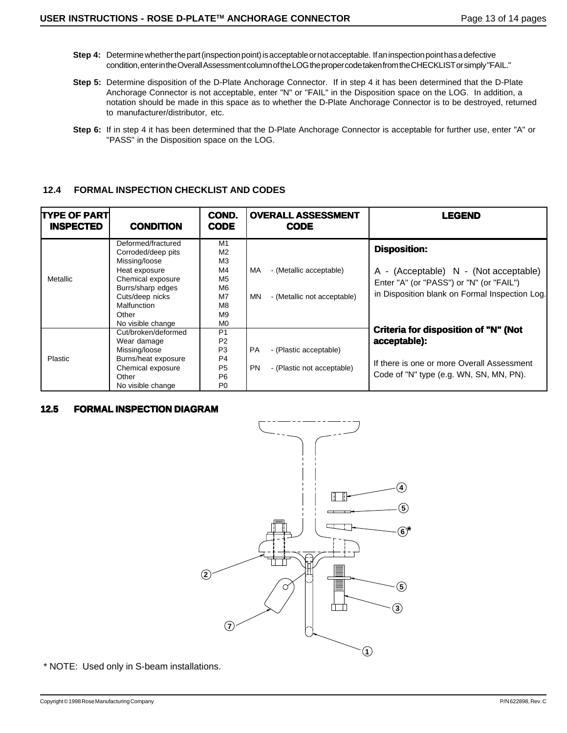- **Step 4:** Determine whether the part (inspection point) is acceptable or not acceptable. If an inspection point has a defective condition, enter in the Overall Assessment column of the LOG the proper code taken from the CHECKLIST or simply "FAIL."
- **Step 5:** Determine disposition of the D-Plate Anchorage Connector. If in step 4 it has been determined that the D-Plate Anchorage Connector is not acceptable, enter "N" or "FAIL" in the Disposition space on the LOG. In addition, a notation should be made in this space as to whether the D-Plate Anchorage Connector is to be destroyed, returned to manufacturer/distributor, etc.
- **Step 6:** If in step 4 it has been determined that the D-Plate Anchorage Connector is acceptable for further use, enter "A" or "PASS" in the Disposition space on the LOG.

### **12.4 FORMAL INSPECTION CHECKLIST AND CODES**

| <b>TYPE OF PART</b><br><b>INSPECTED</b> | <b>CONDITION</b>                                                                                                                                                                     | COND.<br><b>CODE</b>                                                                                                       | <b>OVERALL ASSESSMENT</b><br><b>CODE</b>                                       | <b>LEGEND</b>                                                                                                                                              |
|-----------------------------------------|--------------------------------------------------------------------------------------------------------------------------------------------------------------------------------------|----------------------------------------------------------------------------------------------------------------------------|--------------------------------------------------------------------------------|------------------------------------------------------------------------------------------------------------------------------------------------------------|
| Metallic                                | Deformed/fractured<br>Corroded/deep pits<br>Missing/loose<br>Heat exposure<br>Chemical exposure<br>Burrs/sharp edges<br>Cuts/deep nicks<br>Malfunction<br>Other<br>No visible change | M <sub>1</sub><br>M <sub>2</sub><br>M <sub>3</sub><br>M4<br>M5<br>M6<br>M7<br>M8<br>M9<br>M <sub>0</sub>                   | MA.<br>- (Metallic acceptable)<br>MN<br>- (Metallic not acceptable)            | <b>Disposition:</b><br>A - (Acceptable) N - (Not acceptable)<br>Enter "A" (or "PASS") or "N" (or "FAIL")<br>in Disposition blank on Formal Inspection Log. |
| Plastic                                 | Cut/broken/deformed<br>Wear damage<br>Missing/loose<br>Burns/heat exposure<br>Chemical exposure<br>Other<br>No visible change                                                        | P <sub>1</sub><br>P <sub>2</sub><br>P <sub>3</sub><br>P <sub>4</sub><br>P <sub>5</sub><br>P <sub>6</sub><br>P <sub>0</sub> | <b>PA</b><br>- (Plastic acceptable)<br><b>PN</b><br>- (Plastic not acceptable) | Criteria for disposition of "N" (Not<br>acceptable):<br>If there is one or more Overall Assessment<br>Code of "N" type (e.g. WN, SN, MN, PN).              |

### **12.5 FORMAL INSPECTION DIAGRAM**



\* NOTE: Used only in S-beam installations.